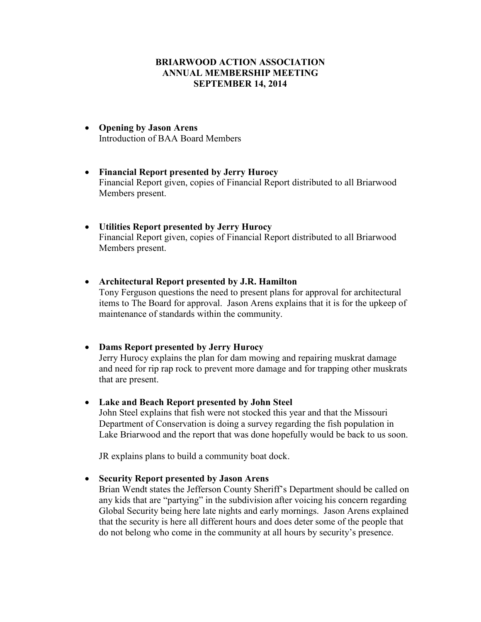# **BRIARWOOD ACTION ASSOCIATION ANNUAL MEMBERSHIP MEETING SEPTEMBER 14, 2014**

- **Opening by Jason Arens**  Introduction of BAA Board Members
- **Financial Report presented by Jerry Hurocy**  Financial Report given, copies of Financial Report distributed to all Briarwood Members present.
- **Utilities Report presented by Jerry Hurocy**  Financial Report given, copies of Financial Report distributed to all Briarwood Members present.
- **Architectural Report presented by J.R. Hamilton**

Tony Ferguson questions the need to present plans for approval for architectural items to The Board for approval. Jason Arens explains that it is for the upkeep of maintenance of standards within the community.

• **Dams Report presented by Jerry Hurocy** 

Jerry Hurocy explains the plan for dam mowing and repairing muskrat damage and need for rip rap rock to prevent more damage and for trapping other muskrats that are present.

• **Lake and Beach Report presented by John Steel** 

John Steel explains that fish were not stocked this year and that the Missouri Department of Conservation is doing a survey regarding the fish population in Lake Briarwood and the report that was done hopefully would be back to us soon.

JR explains plans to build a community boat dock.

• **Security Report presented by Jason Arens** 

Brian Wendt states the Jefferson County Sheriff's Department should be called on any kids that are "partying" in the subdivision after voicing his concern regarding Global Security being here late nights and early mornings. Jason Arens explained that the security is here all different hours and does deter some of the people that do not belong who come in the community at all hours by security's presence.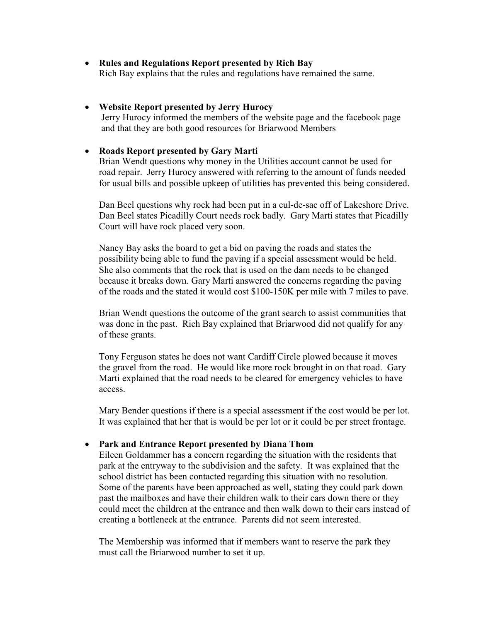• **Rules and Regulations Report presented by Rich Bay**  Rich Bay explains that the rules and regulations have remained the same.

### • **Website Report presented by Jerry Hurocy**

 Jerry Hurocy informed the members of the website page and the facebook page and that they are both good resources for Briarwood Members

### • **Roads Report presented by Gary Marti**

Brian Wendt questions why money in the Utilities account cannot be used for road repair. Jerry Hurocy answered with referring to the amount of funds needed for usual bills and possible upkeep of utilities has prevented this being considered.

Dan Beel questions why rock had been put in a cul-de-sac off of Lakeshore Drive. Dan Beel states Picadilly Court needs rock badly. Gary Marti states that Picadilly Court will have rock placed very soon.

Nancy Bay asks the board to get a bid on paving the roads and states the possibility being able to fund the paving if a special assessment would be held. She also comments that the rock that is used on the dam needs to be changed because it breaks down. Gary Marti answered the concerns regarding the paving of the roads and the stated it would cost \$100-150K per mile with 7 miles to pave.

Brian Wendt questions the outcome of the grant search to assist communities that was done in the past. Rich Bay explained that Briarwood did not qualify for any of these grants.

Tony Ferguson states he does not want Cardiff Circle plowed because it moves the gravel from the road. He would like more rock brought in on that road. Gary Marti explained that the road needs to be cleared for emergency vehicles to have access.

Mary Bender questions if there is a special assessment if the cost would be per lot. It was explained that her that is would be per lot or it could be per street frontage.

#### • **Park and Entrance Report presented by Diana Thom**

Eileen Goldammer has a concern regarding the situation with the residents that park at the entryway to the subdivision and the safety. It was explained that the school district has been contacted regarding this situation with no resolution. Some of the parents have been approached as well, stating they could park down past the mailboxes and have their children walk to their cars down there or they could meet the children at the entrance and then walk down to their cars instead of creating a bottleneck at the entrance. Parents did not seem interested.

The Membership was informed that if members want to reserve the park they must call the Briarwood number to set it up.